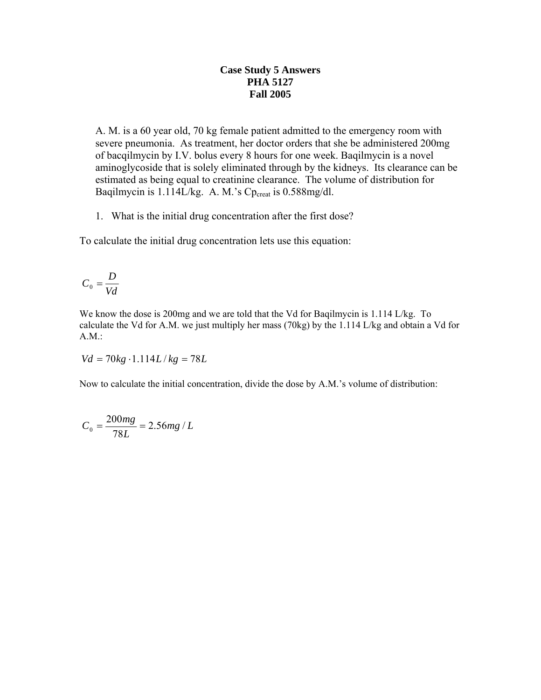## **Case Study 5 Answers PHA 5127 Fall 2005**

A. M. is a 60 year old, 70 kg female patient admitted to the emergency room with severe pneumonia. As treatment, her doctor orders that she be administered 200mg of bacqilmycin by I.V. bolus every 8 hours for one week. Baqilmycin is a novel aminoglycoside that is solely eliminated through by the kidneys. Its clearance can be estimated as being equal to creatinine clearance. The volume of distribution for Baqilmycin is  $1.114L/kg$ . A. M.'s Cp<sub>creat</sub> is  $0.588mg/dl$ .

1. What is the initial drug concentration after the first dose?

To calculate the initial drug concentration lets use this equation:

$$
C_0 = \frac{D}{Vd}
$$

We know the dose is 200mg and we are told that the Vd for Baqilmycin is 1.114 L/kg. To calculate the Vd for A.M. we just multiply her mass (70kg) by the 1.114 L/kg and obtain a Vd for A.M.:

$$
Vd = 70kg \cdot 1.114L/kg = 78L
$$

Now to calculate the initial concentration, divide the dose by A.M.'s volume of distribution:

$$
C_0 = \frac{200mg}{78L} = 2.56mg / L
$$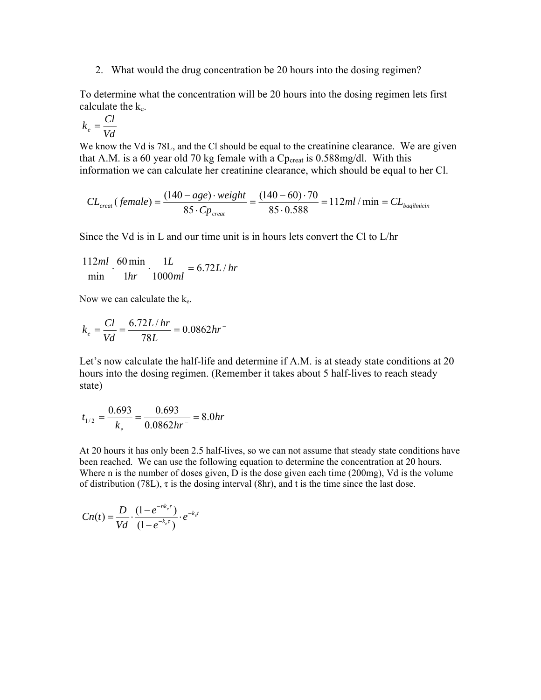2. What would the drug concentration be 20 hours into the dosing regimen?

To determine what the concentration will be 20 hours into the dosing regimen lets first calculate the  $k_e$ .

$$
k_e = \frac{Cl}{Vd}
$$

We know the Vd is 78L, and the Cl should be equal to the creatinine clearance. We are given that A.M. is a 60 year old 70 kg female with a  $Cp_{\text{creat}}$  is 0.588mg/dl. With this information we can calculate her creatinine clearance, which should be equal to her Cl.

$$
CL_{\text{creat}}(\text{female}) = \frac{(140 - age) \cdot weight}{85 \cdot Cp_{\text{creat}}} = \frac{(140 - 60) \cdot 70}{85 \cdot 0.588} = 112ml / \text{min} = CL_{\text{bagilmicin}}
$$

Since the Vd is in L and our time unit is in hours lets convert the Cl to L/hr

$$
\frac{112ml}{\min} \cdot \frac{60 \min}{1hr} \cdot \frac{1L}{1000ml} = 6.72L/hr
$$

Now we can calculate the  $k_e$ .

$$
k_e = \frac{Cl}{Vd} = \frac{6.72L/hr}{78L} = 0.0862hr
$$

Let's now calculate the half-life and determine if A.M. is at steady state conditions at 20 hours into the dosing regimen. (Remember it takes about 5 half-lives to reach steady state)

$$
t_{1/2} = \frac{0.693}{k_e} = \frac{0.693}{0.0862hr} = 8.0hr
$$

At 20 hours it has only been 2.5 half-lives, so we can not assume that steady state conditions have been reached. We can use the following equation to determine the concentration at 20 hours. Where n is the number of doses given, D is the dose given each time (200mg), Vd is the volume of distribution (78L),  $\tau$  is the dosing interval (8hr), and t is the time since the last dose.

$$
Cn(t) = \frac{D}{Vd} \cdot \frac{(1 - e^{-nk_c\tau})}{(1 - e^{-k_c\tau})} \cdot e^{-k_c t}
$$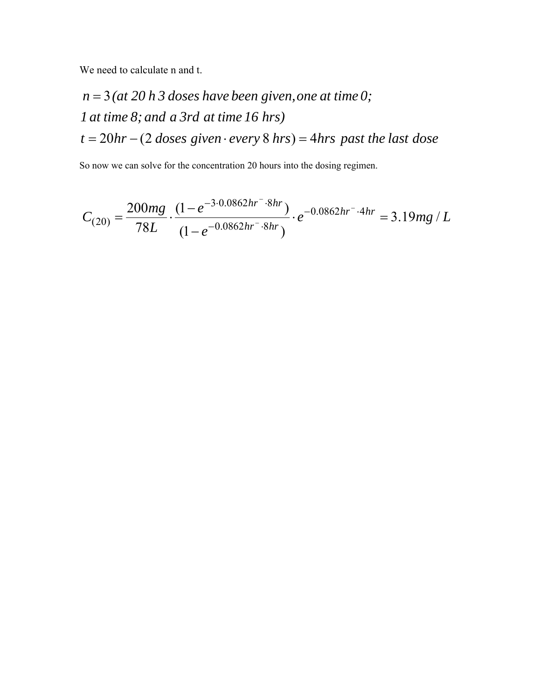We need to calculate n and t.

$$
n = 3
$$
 (at 20 h 3 doses have been given, one at time 0;  
1 at time 8; and a 3rd at time 16 hrs)  
 $t = 20hr - (2 doses given \cdot every 8 hrs) = 4 hrs past the last dose$ 

So now we can solve for the concentration 20 hours into the dosing regimen.

$$
C_{(20)} = \frac{200mg}{78L} \cdot \frac{(1 - e^{-3.0.0862hr - 8hr})}{(1 - e^{-0.0862hr - 8hr})} \cdot e^{-0.0862hr - 4hr} = 3.19mg / L
$$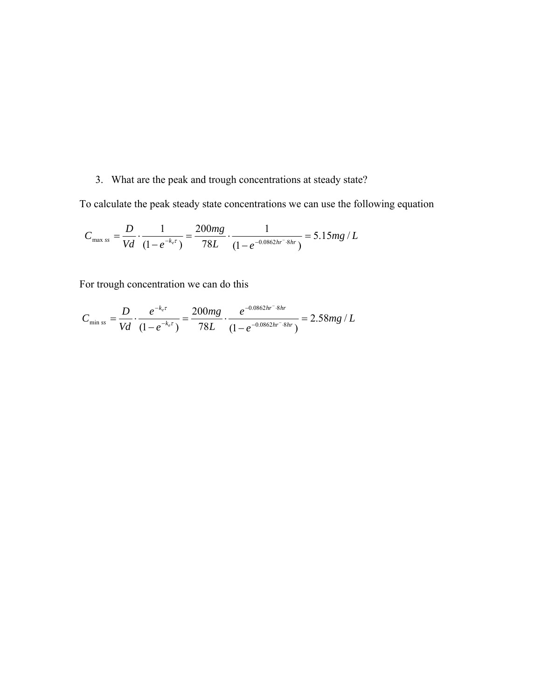## 3. What are the peak and trough concentrations at steady state?

To calculate the peak steady state concentrations we can use the following equation

$$
C_{\max ss} = \frac{D}{Vd} \cdot \frac{1}{(1 - e^{-k_e \tau})} = \frac{200mg}{78L} \cdot \frac{1}{(1 - e^{-0.0862hr - 8hr})} = 5.15mg/L
$$

For trough concentration we can do this

$$
C_{\min ss} = \frac{D}{Vd} \cdot \frac{e^{-k_c \tau}}{(1 - e^{-k_c \tau})} = \frac{200mg}{78L} \cdot \frac{e^{-0.0862hr^{-8}hr}}{(1 - e^{-0.0862hr^{-8}hr})} = 2.58mg / L
$$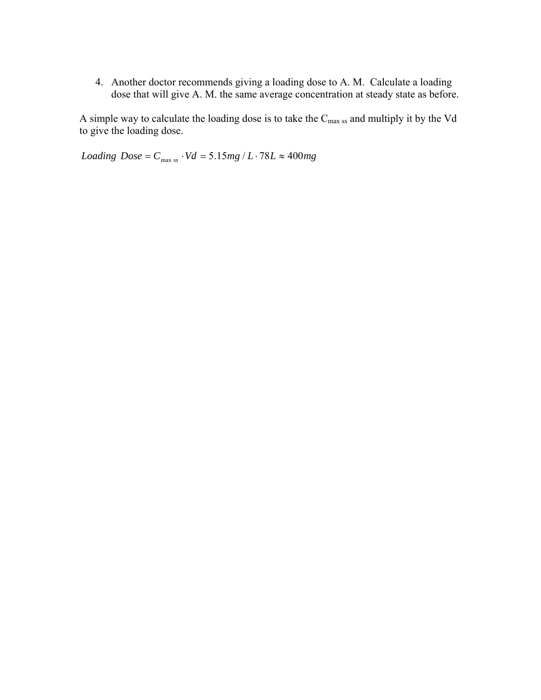4. Another doctor recommends giving a loading dose to A. M. Calculate a loading dose that will give A. M. the same average concentration at steady state as before.

A simple way to calculate the loading dose is to take the Cmax ss and multiply it by the Vd to give the loading dose.

*Loading*  $Dose = C_{max ss} \cdot Vd = 5.15mg/L \cdot 78L \approx 400mg$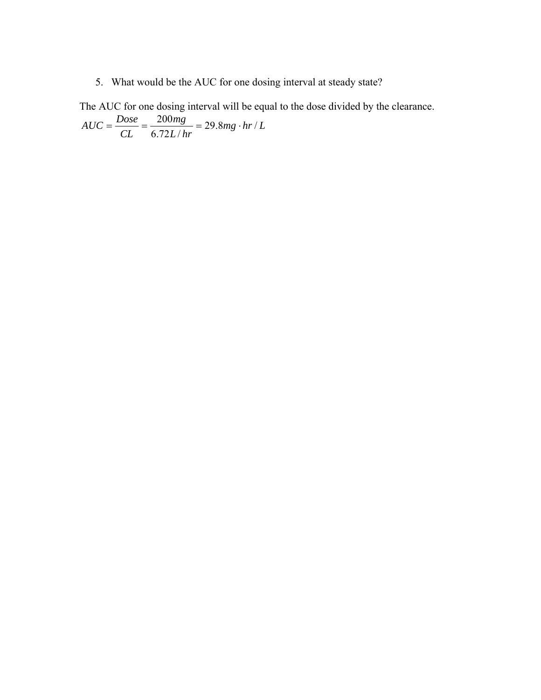5. What would be the AUC for one dosing interval at steady state?

The AUC for one dosing interval will be equal to the dose divided by the clearance.

 $mg \cdot hr/L$ *L hr mg CL*  $AUC = \frac{Dose}{\sim 25} = \frac{200mg}{6.78 \times 10^{-9}} = 29.8mg \cdot hr/$  $6.72 L/$  $=\frac{Dose}{\sqrt{2}} = \frac{200mg}{2.550 \times 10^{-10}} = 29.8mg$ .